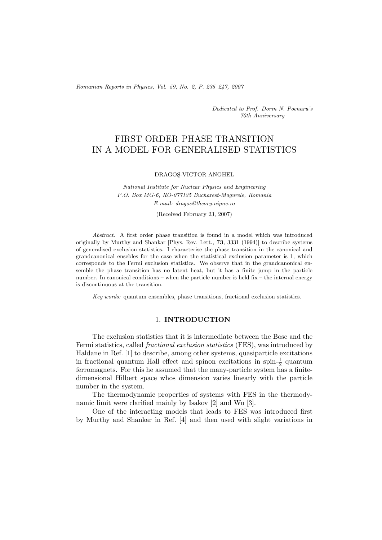*Romanian Reports in Physics, Vol. 59, No. 2, P. 235–247, 2007*

*Dedicated to Prof. Dorin N. Poenaru's 70th Anniversary*

# FIRST ORDER PHASE TRANSITION IN A MODEL FOR GENERALISED STATISTICS

DRAGOS¸-VICTOR ANGHEL

*National Institute for Nuclear Physics and Engineering P.O. Box MG-6, RO-077125 Bucharest-Magurele, Romania E-mail: dragos@theory.nipne.ro*

(Received February 23, 2007)

*Abstract.* A first order phase transition is found in a model which was introduced originally by Murthy and Shankar [Phys. Rev. Lett., **73**, 3331 (1994)] to describe systems of generalised exclusion statistics. I characterise the phase transition in the canonical and grandcanonical ensebles for the case when the statistical exclusion parameter is 1, which corresponds to the Fermi exclusion statistics. We observe that in the grandcanonical ensemble the phase transition has no latent heat, but it has a finite jump in the particle number. In canonical conditions – when the particle number is held  $fix$  – the internal energy is discontinuous at the transition.

*Key words:* quantum ensembles, phase transitions, fractional exclusion statistics.

## 1. **INTRODUCTION**

The exclusion statistics that it is intermediate between the Bose and the Fermi statistics, called *fractional exclusion statistics* (FES), was introduced by Haldane in Ref. [1] to describe, among other systems, quasiparticle excitations in fractional quantum Hall effect and spinon excitations in spin- $\frac{1}{2}$  quantum ferromagnets. For this he assumed that the many-particle system has a finitedimensional Hilbert space whos dimension varies linearly with the particle number in the system.

The thermodynamic properties of systems with FES in the thermodynamic limit were clarified mainly by Isakov [2] and Wu [3].

One of the interacting models that leads to FES was introduced first by Murthy and Shankar in Ref. [4] and then used with slight variations in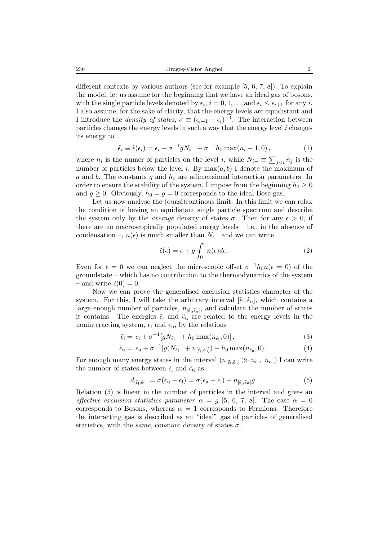different contexts by various authors (see for example [5, 6, 7, 8]). To explain the model, let us assume for the beginning that we have an ideal gas of bosons, with the single particle levels denoted by  $\epsilon_i$ ,  $i = 0, 1, \ldots$  and  $\epsilon_i \leq \epsilon_{i+1}$  for any i. I also assume, for the sake of clarity, that the energy levels are equidistant and I introduce the *density of states*,  $\sigma \equiv (\epsilon_{i+1} - \epsilon_i)^{-1}$ . The interaction between particles changes the energy levels in such a way that the energy level i changes its energy to

$$
\tilde{\epsilon}_i \equiv \tilde{\epsilon}(\epsilon_i) = \epsilon_i + \sigma^{-1} g N_{i-} + \sigma^{-1} h_0 \max(n_i - 1, 0), \qquad (1)
$$

where  $n_i$  is the numer of particles on the level i, while  $N_i = \sum_{j \leq i} n_j$  is the number of particles below the level i. By  $\max(a, b)$  I denote the maximum of number of particles below the level i. By  $max(a, b)$  I denote the maximum of a and b. The constants g and  $h_0$  are adimensional interaction parameters. In order to ensure the stability of the system, I impose from the beginning  $h_0 \geq 0$ and  $q \geq 0$ . Obviously,  $h_0 = q = 0$  corresponds to the ideal Bose gas.

Let us now analyse the (quasi)continous limit. In this limit we can relax the condition of having an equidistant single particle spectrum and describe the system only by the *average* density of states  $\sigma$ . Then for any  $\epsilon > 0$ , if there are no macroscopically populated energy levels – i.e., in the absence of condensation –,  $n(\epsilon)$  is much smaller than  $N_{\epsilon-}$  and we can write

$$
\tilde{\epsilon}(\epsilon) = \epsilon + g \int_0^{\epsilon} n(\epsilon) d\epsilon.
$$
 (2)

Even for  $\epsilon = 0$  we can neglect the microscopic offset  $\sigma^{-1}h_0n(\epsilon = 0)$  of the groundstate – which has no contribution to the thermodynamics of the system – and write  $\tilde{\epsilon}(0) = 0$ .

Now we can prove the generalised exclusion statistics character of the system. For this, I will take the arbitrary interval  $[\tilde{\epsilon}_1, \tilde{\epsilon}_u]$ , which contains a large enough number of particles,  $n_{[\tilde{\epsilon}_\mathrm{l},\tilde{\epsilon}_\mathrm{u}]},$  and calculate the number of states it contains. The energies  $\tilde{\epsilon}_l$  and  $\tilde{\epsilon}_u$  are related to the energy levels in the noninteracting system,  $\epsilon_1$  and  $\epsilon_1$ , by the relations

$$
\tilde{\epsilon}_{\mathbf{l}} = \epsilon_{\mathbf{l}} + \sigma^{-1} [g N_{\tilde{\epsilon}_{\mathbf{l}-}} + h_0 \max(n_{\tilde{\epsilon}_{\mathbf{l}}}, 0)], \qquad (3)
$$

$$
\tilde{\epsilon}_{\mathbf{u}} = \epsilon_{\mathbf{u}} + \sigma^{-1} [g(N_{\tilde{\epsilon}_{1-}} + n_{[\tilde{\epsilon}_1, \tilde{\epsilon}_{\mathbf{u}}]}) + h_0 \max(n_{\tilde{\epsilon}_{\mathbf{u}}}, 0)]. \tag{4}
$$

For enough many energy states in the interval  $(n_{[\tilde{\epsilon}_1, \tilde{\epsilon}_u]} \gg n_{\tilde{\epsilon}_1}, n_{\tilde{\epsilon}_u})$  I can write the number of states between  $\tilde{\epsilon}_l$  and  $\tilde{\epsilon}_u$  as

$$
d_{\left[\tilde{\epsilon}_{1},\tilde{\epsilon}_{u}\right]} = \sigma(\epsilon_{u} - \epsilon_{l}) = \sigma(\tilde{\epsilon}_{u} - \tilde{\epsilon}_{l}) - n_{\left[\tilde{\epsilon}_{1},\tilde{\epsilon}_{u}\right]}g. \tag{5}
$$

Relation (5) is linear in the number of particles in the interval and gives an *effective exclusion statistics parameter*  $\alpha = g$  [5, 6, 7, 8]. The case  $\alpha = 0$ corresponds to Bosons, whereas  $\alpha = 1$  corresponds to Fermions. Therefore the interacting gas is described as an "ideal" gas of particles of generalised statistics, with the *same*, constant density of states  $\sigma$ .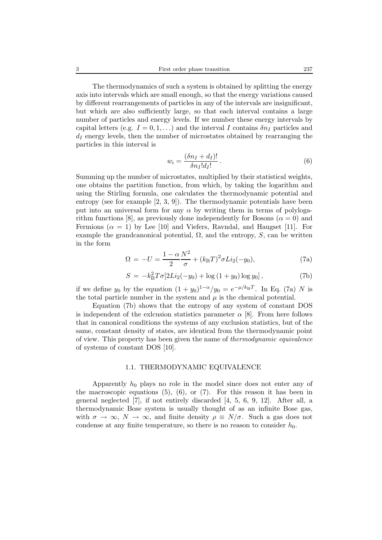3 First order phase transition 237

The thermodynamics of such a system is obtained by splitting the energy axis into intervals which are small enough, so that the energy variations caused by different rearrangements of particles in any of the intervals are insignificant, but which are also sufficiently large, so that each interval contains a large number of particles and energy levels. If we number these energy intervals by capital letters (e.g.  $I = 0, 1, \ldots$ ) and the interval I contains  $\delta n_I$  particles and  $d_I$  energy levels, then the number of microstates obtained by rearranging the particles in this interval is

$$
w_i = \frac{(\delta n_I + d_I)!}{\delta n_I! d_I!}.
$$
\n(6)

Summing up the number of microstates, multiplied by their statistical weights, one obtains the partition function, from which, by taking the logarithm and using the Stirling formula, one calculates the thermodynamic potential and entropy (see for example [2, 3, 9]). The thermodynamic potentials have been put into an universal form for any  $\alpha$  by writing them in terms of polylogarithm functions [8], as previously done independently for Bosons ( $\alpha = 0$ ) and Fermions ( $\alpha = 1$ ) by Lee [10] and Viefers, Ravndal, and Haugset [11]. For example the grandcanonical potential,  $\Omega$ , and the entropy, S, can be written in the form

$$
\Omega = -U = \frac{1 - \alpha N^2}{2} + (k_{\rm B}T)^2 \sigma Li_2(-y_0),\tag{7a}
$$

$$
S = -k_{\rm B}^2 T \sigma [2Li_2(-y_0) + \log (1 + y_0) \log y_0], \tag{7b}
$$

if we define  $y_0$  by the equation  $(1 + y_0)^{1-\alpha}/y_0 = e^{-\mu/k_B T}$ . In Eq. (7a) N is the total particle number in the system and  $\mu$  is the chemical potential.

Equation (7b) shows that the entropy of any system of constant DOS is independent of the exclusion statistics parameter  $\alpha$  [8]. From here follows that in canonical conditions the systems of any exclusion statistics, but of the same, constant density of states, are identical from the thermodynamic point of view. This property has been given the name of *thermodynamic equivalence* of systems of constant DOS [10].

#### 1.1. THERMODYNAMIC EQUIVALENCE

Apparently  $h_0$  plays no role in the model since does not enter any of the macroscopic equations  $(5)$ ,  $(6)$ , or  $(7)$ . For this reason it has been in general neglected [7], if not entirely discarded [4, 5, 6, 9, 12]. After all, a thermodynamic Bose system is usually thought of as an infinite Bose gas, with  $\sigma \to \infty$ ,  $N \to \infty$ , and finite density  $\rho \equiv N/\sigma$ . Such a gas does not condense at any finite temperature, so there is no reason to consider  $h_0$ .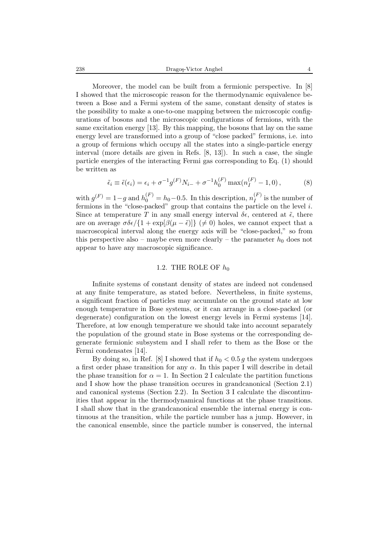238 Dragoş-Victor Anghel 4

Moreover, the model can be built from a fermionic perspective. In [8] I showed that the microscopic reason for the thermodynamic equivalence between a Bose and a Fermi system of the same, constant density of states is the possibility to make a one-to-one mapping between the microscopic configurations of bosons and the microscopic configurations of fermions, with the same excitation energy [13]. By this mapping, the bosons that lay on the same energy level are transformed into a group of "close packed" fermions, i.e. into a group of fermions which occupy all the states into a single-particle energy interval (more details are given in Refs. [8, 13]). In such a case, the single particle energies of the interacting Fermi gas corresponding to Eq. (1) should be written as

$$
\tilde{\epsilon}_i \equiv \tilde{\epsilon}(\epsilon_i) = \epsilon_i + \sigma^{-1} g^{(F)} N_{i-} + \sigma^{-1} h_0^{(F)} \max(n_I^{(F)} - 1, 0), \qquad (8)
$$

with  $g^{(F)} = 1-g$  and  $h_0^{(F)} = h_0 - 0.5$ . In this description,  $n_I^{(F)}$  is the number of fermions in the "close-packed" group that contains the particle on the level *i* fermions in the "close-packed" group that contains the particle on the level i. Since at temperature T in any small energy interval  $\delta \epsilon$ , centered at  $\tilde{\epsilon}$ , there are on average  $\sigma \delta \epsilon / \{1 + \exp[\beta(\mu - \tilde{\epsilon})]\}$  ( $\neq 0$ ) holes, we cannot expect that a macroscopical interval along the energy axis will be "close-packed," so from this perspective also – maybe even more clearly – the parameter  $h_0$  does not appear to have any macroscopic significance.

### 1.2. THE ROLE OF  $h_0$

Infinite systems of constant density of states are indeed not condensed at any finite temperature, as stated before. Nevertheless, in finite systems, a significant fraction of particles may accumulate on the ground state at low enough temperature in Bose systems, or it can arrange in a close-packed (or degenerate) configuration on the lowest energy levels in Fermi systems [14]. Therefore, at low enough temperature we should take into account separately the population of the ground state in Bose systems or the corresponding degenerate fermionic subsystem and I shall refer to them as the Bose or the Fermi condensates [14].

By doing so, in Ref. [8] I showed that if  $h_0 < 0.5 g$  the system undergoes a first order phase transition for any  $\alpha$ . In this paper I will describe in detail the phase transition for  $\alpha = 1$ . In Section 2 I calculate the partition functions and I show how the phase transition occures in grandcanonical (Section 2.1) and canonical systems (Section 2.2). In Section 3 I calculate the discontinuities that appear in the thermodynamical functions at the phase transitions. I shall show that in the grandcanonical ensemble the internal energy is continuous at the transition, while the particle number has a jump. However, in the canonical ensemble, since the particle number is conserved, the internal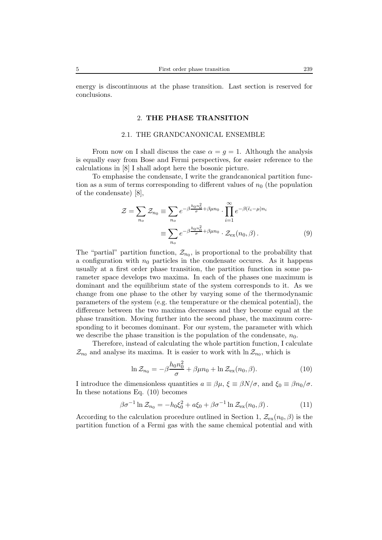energy is discontinuous at the phase transition. Last section is reserved for conclusions.

## 2. **THE PHASE TRANSITION**

#### 2.1. THE GRANDCANONICAL ENSEMBLE

From now on I shall discuss the case  $\alpha = q = 1$ . Although the analysis is equally easy from Bose and Fermi perspectives, for easier reference to the calculations in [8] I shall adopt here the bosonic picture.

To emphasise the condensate, I write the grandcanonical partition function as a sum of terms corresponding to different values of  $n_0$  (the population of the condensate) [8],

$$
\mathcal{Z} = \sum_{n_o} \mathcal{Z}_{n_0} \equiv \sum_{n_o} e^{-\beta \frac{h_0 n_0^2}{\sigma} + \beta \mu n_0} \cdot \prod_{i=1}^{\infty} e^{-\beta (\tilde{\epsilon}_i - \mu) n_i}
$$

$$
\equiv \sum_{n_o} e^{-\beta \frac{h_0 n_0^2}{\sigma} + \beta \mu n_0} \cdot \mathcal{Z}_{\text{ex}}(n_0, \beta).
$$
(9)

The "partial" partition function,  $\mathcal{Z}_{n_0}$ , is proportional to the probability that a configuration with  $n_0$  particles in the condensate occures. As it happens usually at a first order phase transition, the partition function in some parameter space develops two maxima. In each of the phases one maximum is dominant and the equilibrium state of the system corresponds to it. As we change from one phase to the other by varying some of the thermodynamic parameters of the system (e.g. the temperature or the chemical potential), the difference between the two maxima decreases and they become equal at the phase transition. Moving further into the second phase, the maximum corresponding to it becomes dominant. For our system, the parameter with which we describe the phase transition is the population of the condensate,  $n_0$ .

Therefore, instead of calculating the whole partition function, I calculate  $\mathcal{Z}_{n_0}$  and analyse its maxima. It is easier to work with  $\ln \mathcal{Z}_{n_0}$ , which is

$$
\ln \mathcal{Z}_{n_0} = -\beta \frac{h_0 n_0^2}{\sigma} + \beta \mu n_0 + \ln \mathcal{Z}_{\text{ex}}(n_0, \beta). \tag{10}
$$

I introduce the dimensionless quantities  $a \equiv \beta \mu$ ,  $\xi \equiv \beta N/\sigma$ , and  $\xi_0 \equiv \beta n_0/\sigma$ . In these notations Eq. (10) becomes

$$
\beta \sigma^{-1} \ln \mathcal{Z}_{n_0} = -h_0 \xi_0^2 + a \xi_0 + \beta \sigma^{-1} \ln \mathcal{Z}_{\text{ex}}(n_0, \beta). \tag{11}
$$

According to the calculation procedure outlined in Section 1,  $\mathcal{Z}_{\text{ex}}(n_0, \beta)$  is the partition function of a Fermi gas with the same chemical potential and with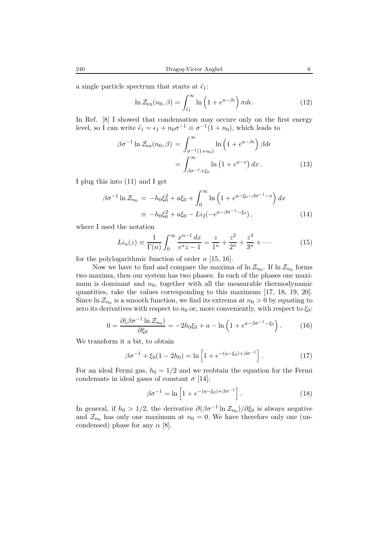a single particle spectrum that starts at  $\tilde{\epsilon}_1$ :

$$
\ln \mathcal{Z}_{\text{ex}}(n_0, \beta) = \int_{\tilde{\epsilon}_1}^{\infty} \ln \left( 1 + e^{a - \beta \epsilon} \right) \sigma d\epsilon.
$$
 (12)

In Ref. [8] I showed that condensation may occure only on the first energy level, so I can write  $\tilde{\epsilon}_1 = \epsilon_1 + n_0 \sigma^{-1} \equiv \sigma^{-1}(1 + n_0)$ , which leads to

$$
\beta \sigma^{-1} \ln \mathcal{Z}_{\text{ex}}(n_0, \beta) = \int_{\sigma^{-1}(1+n_0)}^{\infty} \ln \left( 1 + e^{a - \beta \epsilon} \right) \beta d\epsilon
$$

$$
= \int_{\beta \sigma^{-1} + \xi_0}^{\infty} \ln \left( 1 + e^{a - x} \right) dx. \tag{13}
$$

I plug this into (11) and I get

$$
\beta \sigma^{-1} \ln \mathcal{Z}_{n_0} = -h_0 \xi_0^2 + a \xi_0 + \int_0^\infty \ln \left( 1 + e^{a - \xi_0 - \beta \sigma^{-1} - x} \right) dx
$$
  

$$
\equiv -h_0 \xi_0^2 + a \xi_0 - Li_2(-e^{a - \beta \sigma^{-1} - \xi_0}), \tag{14}
$$

where I used the notation

$$
Li_n(z) \equiv \frac{1}{\Gamma(n)} \int_0^\infty \frac{x^{n-1} \, dx}{e^x z - 1} = \frac{z}{1^n} + \frac{z^2}{2^n} + \frac{z^3}{3^n} + \cdots \tag{15}
$$

for the polylogarithmic function of order  $n$  [15, 16].

Now we have to find and compare the maxima of  $\ln \mathcal{Z}_{n_0}$ . If  $\ln \mathcal{Z}_{n_0}$  forms two maxima, then our system has two phases. In each of the phases one maximum is dominant and  $n_0$ , together with all the measurable thermodynamic quantities, take the values corresponding to this maximum [17, 18, 19, 20]. Since  $\ln \mathcal{Z}_{n_0}$  is a smooth function, we find its extrema at  $n_0 > 0$  by equating to zero its derivatives with respect to  $n_0$  or, more conveniently, with respect to  $\xi_0$ :

$$
0 = \frac{\partial(\beta \sigma^{-1} \ln \mathcal{Z}_{n_0})}{\partial \xi_0} = -2h_0 \xi_0 + a - \ln \left( 1 + e^{a - \beta \sigma^{-1} - \xi_0} \right). \tag{16}
$$

We transform it a bit, to obtain

$$
\beta \sigma^{-1} + \xi_0 (1 - 2h_0) = \ln \left[ 1 + e^{-(a - \xi_0) + \beta \sigma^{-1}} \right]. \tag{17}
$$

For an ideal Fermi gas,  $h_0 = 1/2$  and we reobtain the equation for the Fermi condensate in ideal gases of constant  $\sigma$  [14]:

$$
\beta \sigma^{-1} = \ln \left[ 1 + e^{-(a - \xi_0) + \beta \sigma^{-1}} \right].
$$
 (18)

In general, if  $h_0 > 1/2$ , the derivative  $\partial(\beta \sigma^{-1} \ln \mathcal{Z}_{n_0})/\partial \xi_0$  is always negative and  $\mathcal{Z}_{n_0}$  has only one maximum at  $n_0 = 0$ . We have therefore only one (uncondensed) phase for any  $\alpha$  [8].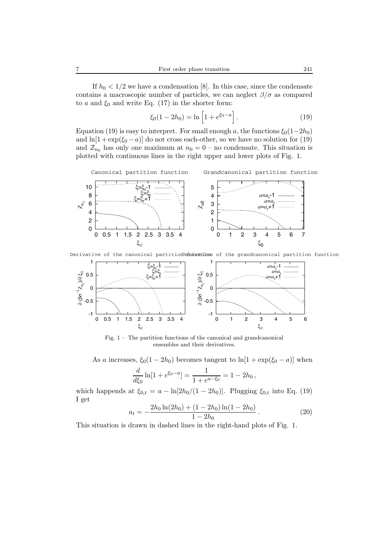$$
\xi_0(1 - 2h_0) = \ln\left[1 + e^{\xi_0 - a}\right].
$$
\n(19)

Equation (19) is easy to interpret. For small enough a, the functions  $\xi_0(1-2h_0)$ and  $\ln[1 + \exp(\xi_0 - a)]$  do not cross each-other, so we have no solution for (19) and  $\mathcal{Z}_{n_0}$  has only one maximum at  $n_0 = 0$  – no condensate. This situation is plotted with continuous lines in the right upper and lower plots of Fig. 1.

Canonical partition function

Grandcanonical partition function



Derivative of the canonical partitionD<del>eminattione</del> of the grandcanonical partition function



Fig.  $1 -$ The partition functions of the canonical and grandcanonical ensembles and their derivatives.

As a increases,  $\xi_0(1-2h_0)$  becomes tangent to  $\ln[1+\exp(\xi_0-a)]$  when

$$
\frac{d}{d\xi_0} \ln[1 + e^{\xi_0 - a}] = \frac{1}{1 + e^{a - \xi_0}} = 1 - 2h_0,
$$

which happends at  $\xi_{0,t} = a - \ln[2h_0/(1-2h_0)]$ . Plugging  $\xi_{0,t}$  into Eq. (19) I get

$$
a_t = -\frac{2h_0 \ln(2h_0) + (1 - 2h_0) \ln(1 - 2h_0)}{1 - 2h_0}.
$$
\n(20)

This situation is drawn in dashed lines in the right-hand plots of Fig. 1.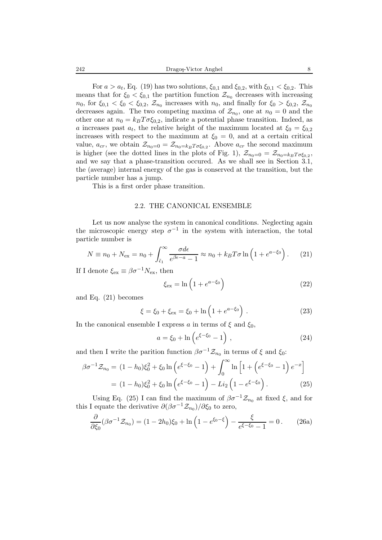For  $a>a_t$ , Eq. (19) has two solutions,  $\xi_{0,1}$  and  $\xi_{0,2}$ , with  $\xi_{0,1} < \xi_{0,2}$ . This means that for  $\xi_0 < \xi_{0,1}$  the partition function  $\mathcal{Z}_{n_0}$  decreases with increasing  $n_0$ , for  $\xi_{0,1} < \xi_0 < \xi_{0,2}$ ,  $\mathcal{Z}_{n_0}$  increases with  $n_0$ , and finally for  $\xi_0 > \xi_{0,2}$ ,  $\mathcal{Z}_{n_0}$ decreases again. The two competing maxima of  $\mathcal{Z}_{n_0}$ , one at  $n_0 = 0$  and the other one at  $n_0 = k_B T \sigma \xi_{0,2}$ , indicate a potential phase transition. Indeed, as a increases past  $a_t$ , the relative height of the maximum located at  $\xi_0 = \xi_{0,2}$ increases with respect to the maximum at  $\xi_0 = 0$ , and at a certain critical value,  $a_{cr}$ , we obtain  $\mathcal{Z}_{n_0=0} = \mathcal{Z}_{n_0=k_B T \sigma \xi_{0,2}}$ . Above  $a_{cr}$  the second maximum is higher (see the dotted lines in the plots of Fig. 1),  $\mathcal{Z}_{n_0=0} = \mathcal{Z}_{n_0=k_B T \sigma \xi_{0,2}}$ , and we say that a phase-transition occured. As we shall see in Section 3.1, the (average) internal energy of the gas is conserved at the transition, but the particle number has a jump.

This is a first order phase transition.

#### 2.2. THE CANONICAL ENSEMBLE

Let us now analyse the system in canonical conditions. Neglecting again the microscopic energy step  $\sigma^{-1}$  in the system with interaction, the total particle number is

$$
N \equiv n_0 + N_{\text{ex}} = n_0 + \int_{\tilde{\epsilon}_1}^{\infty} \frac{\sigma d\epsilon}{e^{\beta \epsilon - a} - 1} \approx n_0 + k_B T \sigma \ln\left(1 + e^{a - \xi_0}\right). \tag{21}
$$

If I denote  $\xi_{\text{ex}} \equiv \beta \sigma^{-1} N_{\text{ex}}$ , then

$$
\xi_{\text{ex}} = \ln\left(1 + e^{a - \xi_0}\right) \tag{22}
$$

and Eq. (21) becomes

$$
\xi = \xi_0 + \xi_{\text{ex}} = \xi_0 + \ln\left(1 + e^{a - \xi_0}\right). \tag{23}
$$

In the canonical ensemble I express a in terms of  $\xi$  and  $\xi_0$ ,

$$
a = \xi_0 + \ln\left(e^{\xi - \xi_0} - 1\right) \,,\tag{24}
$$

and then I write the parition function  $\beta \sigma^{-1} \mathcal{Z}_{n_0}$  in terms of  $\xi$  and  $\xi_0$ :

$$
\beta \sigma^{-1} \mathcal{Z}_{n_0} = (1 - h_0) \xi_0^2 + \xi_0 \ln \left( e^{\xi - \xi_0} - 1 \right) + \int_0^\infty \ln \left[ 1 + \left( e^{\xi - \xi_0} - 1 \right) e^{-x} \right]
$$

$$
= (1 - h_0) \xi_0^2 + \xi_0 \ln \left( e^{\xi - \xi_0} - 1 \right) - Li_2 \left( 1 - e^{\xi - \xi_0} \right). \tag{25}
$$

Using Eq. (25) I can find the maximum of  $\beta \sigma^{-1} \mathcal{Z}_{n_0}$  at fixed  $\xi$ , and for this I equate the derivative  $\partial(\beta\sigma^{-1}\mathcal{Z}_{n_0})/\partial\xi_0$  to zero,

$$
\frac{\partial}{\partial \xi_0} (\beta \sigma^{-1} \mathcal{Z}_{n_0}) = (1 - 2h_0)\xi_0 + \ln\left(1 - e^{\xi_0 - \xi}\right) - \frac{\xi}{e^{\xi - \xi_0} - 1} = 0. \tag{26a}
$$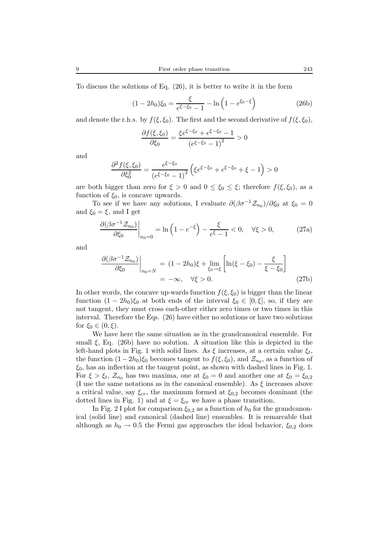To discuss the solutions of Eq. (26), it is better to write it in the form

$$
(1 - 2h_0)\xi_0 = \frac{\xi}{e^{\xi - \xi_0} - 1} - \ln\left(1 - e^{\xi_0 - \xi}\right)
$$
 (26b)

and denote the r.h.s. by  $f(\xi, \xi_0)$ . The first and the second derivative of  $f(\xi, \xi_0)$ ,

$$
\frac{\partial f(\xi, \xi_0)}{\partial \xi_0} = \frac{\xi e^{\xi - \xi_0} + e^{\xi - \xi_0} - 1}{\left(e^{\xi - \xi_0} - 1\right)^2} > 0
$$

and

$$
\frac{\partial^2 f(\xi, \xi_0)}{\partial \xi_0^2} = \frac{e^{\xi - \xi_0}}{\left(e^{\xi - \xi_0} - 1\right)^3} \left(\xi e^{\xi - \xi_0} + e^{\xi - \xi_0} + \xi - 1\right) > 0
$$

are both bigger than zero for  $\xi > 0$  and  $0 \le \xi_0 \le \xi$ ; therefore  $f(\xi, \xi_0)$ , as a function of  $\xi_0$ , is concave upwards.

To see if we have any solutions, I evaluate  $\partial(\beta\sigma^{-1}\mathcal{Z}_{n_0})/\partial\xi_0$  at  $\xi_0 = 0$ and  $\xi_0 = \xi$ , and I get

$$
\left. \frac{\partial(\beta \sigma^{-1} \mathcal{Z}_{n_0})}{\partial \xi_0} \right|_{n_0=0} = \ln\left(1 - e^{-\xi}\right) - \frac{\xi}{e^{\xi} - 1} < 0, \quad \forall \xi > 0,\tag{27a}
$$

and

$$
\frac{\partial(\beta \sigma^{-1} \mathcal{Z}_{n_0})}{\partial \xi_0}\Big|_{n_0=N} = (1-2h_0)\xi + \lim_{\xi_0 \to \xi} \left[ \ln(\xi - \xi_0) - \frac{\xi}{\xi - \xi_0} \right]
$$
\n
$$
= -\infty, \quad \forall \xi > 0.
$$
\n(27b)

In other words, the concave up-wards function  $f(\xi, \xi_0)$  is bigger than the linear function  $(1 - 2h_0)\xi_0$  at both ends of the interval  $\xi_0 \in [0, \xi]$ , so, if they are not tangent, they must cross each-other either zero times or two times in this interval. Therefore the Eqs. (26) have either no solutions or have two solutions for  $\xi_0 \in (0,\xi)$ .

We have here the same situation as in the grandcanonical ensemble. For small  $\xi$ , Eq. (26b) have no solution. A situation like this is depicted in the left-hand plots in Fig. 1 with solid lines. As  $\xi$  increases, at a certain value  $\xi_t$ , the function  $(1-2h_0)\xi_0$  becomes tangent to  $f(\xi, \xi_0)$ , and  $\mathcal{Z}_{n_0}$ , as a function of  $\xi_0$ , has an inflection at the tangent point, as shown with dashed lines in Fig. 1. For  $\xi > \xi_t$ ,  $\mathcal{Z}_{n_0}$  has two maxima, one at  $\xi_0 = 0$  and another one at  $\xi_0 = \xi_{0,2}$ (I use the same notations as in the canonical ensemble). As  $\xi$  increases above a critical value, say  $\xi_{cr}$ , the maximum formed at  $\xi_{0,2}$  becomes dominant (the dotted lines in Fig. 1) and at  $\xi = \xi_{cr}$  we have a phase transition.

In Fig. 2 I plot for comparison  $\xi_{0,2}$  as a function of  $h_0$  for the grandcanonical (solid line) and canonical (dashed line) ensembles. It is remarcable that although as  $h_0 \rightarrow 0.5$  the Fermi gas approaches the ideal behavior,  $\xi_{0,2}$  does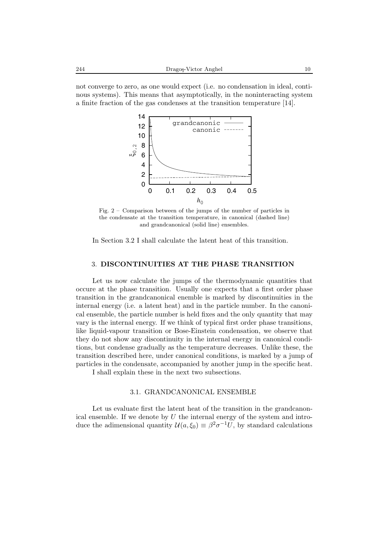not converge to zero, as one would expect (i.e. no condensation in ideal, continous systems). This means that asymptotically, in the noninteracting system a finite fraction of the gas condenses at the transition temperature [14].



Fig. 2 – Comparison between of the jumps of the number of particles in the condensate at the transition temperature, in canonical (dashed line) and grandcanonical (solid line) ensembles.

In Section 3.2 I shall calculate the latent heat of this transition.

## 3. **DISCONTINUITIES AT THE PHASE TRANSITION**

Let us now calculate the jumps of the thermodynamic quantities that occure at the phase transition. Usually one expects that a first order phase transition in the grandcanonical enemble is marked by discontinuities in the internal energy (i.e. a latent heat) and in the particle number. In the canonical ensemble, the particle number is held fixes and the only quantity that may vary is the internal energy. If we think of typical first order phase transitions, like liquid-vapour transition or Bose-Einstein condensation, we observe that they do not show any discontinuity in the internal energy in canonical conditions, but condense gradually as the temperature decreases. Unlike these, the transition described here, under canonical conditions, is marked by a jump of particles in the condensate, accompanied by another jump in the specific heat.

I shall explain these in the next two subsections.

## 3.1. GRANDCANONICAL ENSEMBLE

Let us evaluate first the latent heat of the transition in the grandcanonical ensemble. If we denote by  $U$  the internal energy of the system and introduce the adimensional quantity  $\mathcal{U}(a,\xi_0) \equiv \beta^2 \sigma^{-1} U$ , by standard calculations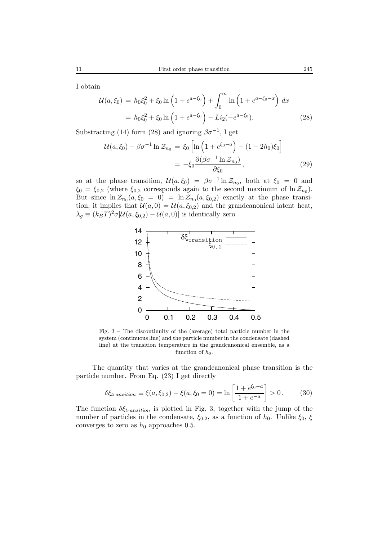I obtain

$$
\mathcal{U}(a,\xi_0) = h_0 \xi_0^2 + \xi_0 \ln \left( 1 + e^{a - \xi_0} \right) + \int_0^\infty \ln \left( 1 + e^{a - \xi_0 - x} \right) dx
$$
  
=  $h_0 \xi_0^2 + \xi_0 \ln \left( 1 + e^{a - \xi_0} \right) - Li_2(-e^{a - \xi_0}).$  (28)

Substracting (14) form (28) and ignoring  $\beta \sigma^{-1}$ , I get

$$
\mathcal{U}(a,\xi_0) - \beta \sigma^{-1} \ln \mathcal{Z}_{n_0} = \xi_0 \left[ \ln \left( 1 + e^{\xi_0 - a} \right) - (1 - 2h_0)\xi_0 \right]
$$

$$
= -\xi_0 \frac{\partial (\beta \sigma^{-1} \ln \mathcal{Z}_{n_0})}{\partial \xi_0}, \tag{29}
$$

so at the phase transition,  $\mathcal{U}(a,\xi_0) = \beta \sigma^{-1} \ln \mathcal{Z}_{n_0}$ , both at  $\xi_0 = 0$  and  $\xi_0 = \xi_{0,2}$  (where  $\xi_{0,2}$  corresponds again to the second maximum of ln  $\mathcal{Z}_{n_0}$ ). But since  $\ln \mathcal{Z}_{n_0}(a,\xi_0 = 0) = \ln \mathcal{Z}_{n_0}(a,\xi_{0,2})$  exactly at the phase transition, it implies that  $\mathcal{U}(a, 0) = \mathcal{U}(a, \xi_{0,2})$  and the grandcanonical latent heat,  $\lambda_q \equiv (k_BT)^2 \sigma [\mathcal{U}(a,\xi_{0,2}) - \mathcal{U}(a,0)]$  is identically zero.



Fig. 3 – The discontinuity of the (average) total particle number in the system (continuous line) and the particle number in the condensate (dashed line) at the transition temperature in the grandcanonical ensemble, as a function of  $h_0$ .

The quantity that varies at the grandcanonical phase transition is the particle number. From Eq. (23) I get directly

$$
\delta \xi_{transition} \equiv \xi(a, \xi_{0,2}) - \xi(a, \xi_0 = 0) = \ln \left[ \frac{1 + e^{\xi_0 - a}}{1 + e^{-a}} \right] > 0. \tag{30}
$$

The function  $\delta \xi_{transition}$  is plotted in Fig. 3, together with the jump of the number of particles in the condensate,  $\xi_{0,2}$ , as a function of  $h_0$ . Unlike  $\xi_0$ ,  $\xi$ converges to zero as  $h_0$  approaches 0.5.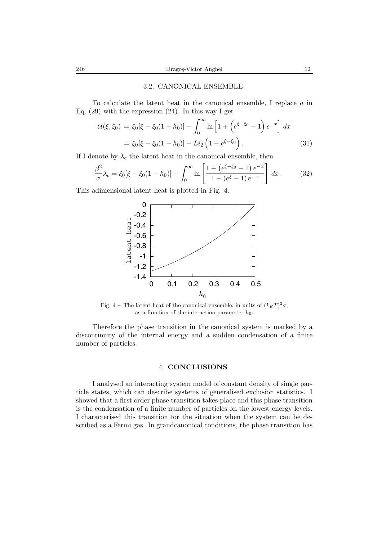#### 3.2. CANONICAL ENSEMBLE

To calculate the latent heat in the canonical ensemble, I replace a in Eq.  $(29)$  with the expression  $(24)$ . In this way I get

$$
\mathcal{U}(\xi, \xi_0) = \xi_0[\xi - \xi_0(1 - h_0)] + \int_0^\infty \ln\left[1 + \left(e^{\xi - \xi_0} - 1\right)e^{-x}\right] dx
$$
  
=  $\xi_0[\xi - \xi_0(1 - h_0)] - Li_2\left(1 - e^{\xi - \xi_0}\right).$  (31)

If I denote by  $\lambda_c$  the latent heat in the canonical ensemble, then

$$
\frac{\beta^2}{\sigma} \lambda_c = \xi_0 [\xi - \xi_0 (1 - h_0)] + \int_0^\infty \ln \left[ \frac{1 + (e^{\xi - \xi_0} - 1) e^{-x}}{1 + (e^{\xi} - 1) e^{-x}} \right] dx. \tag{32}
$$

This adimensional latent heat is plotted in Fig. 4.



Fig. 4 – The latent heat of the canonical ensemble, in units of  $(k_BT)^2 \sigma$ , as a function of the interaction parameter  $h_0$ .

Therefore the phase transition in the canonical system is marked by a discontinuity of the internal energy and a sudden condensation of a finite number of particles.

#### 4. **CONCLUSIONS**

I analysed an interacting system model of constant density of single particle states, which can describe systems of generalised exclusion statistics. I showed that a first order phase transition takes place and this phase transition is the condensation of a finite number of particles on the lowest energy levels. I characterised this transition for the situation when the system can be described as a Fermi gas. In grandcanonical conditions, the phase transition has